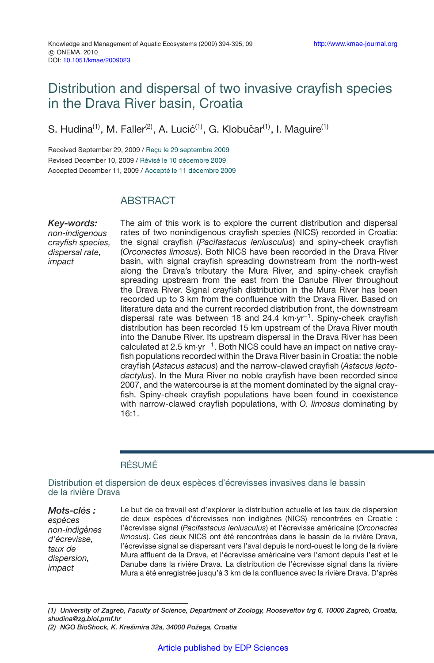# Distribution and dispersal of two invasive crayfish species in the Drava River basin, Croatia

S. Hudina<sup>(1)</sup>, M. Faller<sup>(2)</sup>, A. Lucić<sup>(1)</sup>, G. Klobučar<sup>(1)</sup>, I. Maguire<sup>(1)</sup>

Received September 29, 2009 / Reçu le 29 septembre 2009 Revised December 10, 2009 / Révisé le 10 décembre 2009 Accepted December 11, 2009 / Accepté le 11 décembre 2009

# **ABSTRACT**

*Key-words: non-indigenous crayfish species, dispersal rate, impact*

The aim of this work is to explore the current distribution and dispersal rates of two nonindigenous crayfish species (NICS) recorded in Croatia: the signal crayfish (*Pacifastacus leniusculus*) and spiny-cheek crayfish (*Orconectes limosus*). Both NICS have been recorded in the Drava River basin, with signal crayfish spreading downstream from the north-west along the Drava's tributary the Mura River, and spiny-cheek crayfish spreading upstream from the east from the Danube River throughout the Drava River. Signal crayfish distribution in the Mura River has been recorded up to 3 km from the confluence with the Drava River. Based on literature data and the current recorded distribution front, the downstream dispersal rate was between 18 and 24.4 km·yr−1. Spiny-cheek crayfish distribution has been recorded 15 km upstream of the Drava River mouth into the Danube River. Its upstream dispersal in the Drava River has been calculated at 2.5 km·yr <sup>−</sup>1. Both NICS could have an impact on native crayfish populations recorded within the Drava River basin in Croatia: the noble crayfish (*Astacus astacus*) and the narrow-clawed crayfish (*Astacus leptodactylus*). In the Mura River no noble crayfish have been recorded since 2007, and the watercourse is at the moment dominated by the signal crayfish. Spiny-cheek crayfish populations have been found in coexistence with narrow-clawed crayfish populations, with *O. limosus* dominating by 16:1.

### RÉSUMÉ

Distribution et dispersion de deux espèces d'écrevisses invasives dans le bassin de la rivière Drava

*Mots-clés : espèces non-indigènes d'écrevisse, taux de dispersion, impact* Le but de ce travail est d'explorer la distribution actuelle et les taux de dispersion de deux espèces d'écrevisses non indigènes (NICS) rencontrées en Croatie : l'écrevisse signal (*Pacifastacus leniusculus*) et l'écrevisse américaine (*Orconectes limosus*). Ces deux NICS ont été rencontrées dans le bassin de la rivière Drava, l'écrevisse signal se dispersant vers l'aval depuis le nord-ouest le long de la rivière Mura affluent de la Drava, et l'écrevisse américaine vers l'amont depuis l'est et le Danube dans la rivière Drava. La distribution de l'écrevisse signal dans la rivière Mura a été enregistrée jusqu'à 3 km de la confluence avec la rivière Drava. D'après

*<sup>(1)</sup> University of Zagreb, Faculty of Science, Department of Zoology, Rooseveltov trg 6, 10000 Zagreb, Croatia, shudina@zg.biol.pmf.hr*

*<sup>(2)</sup> NGO BioShock, K. Krešimira 32a, 34000 Požega, Croatia*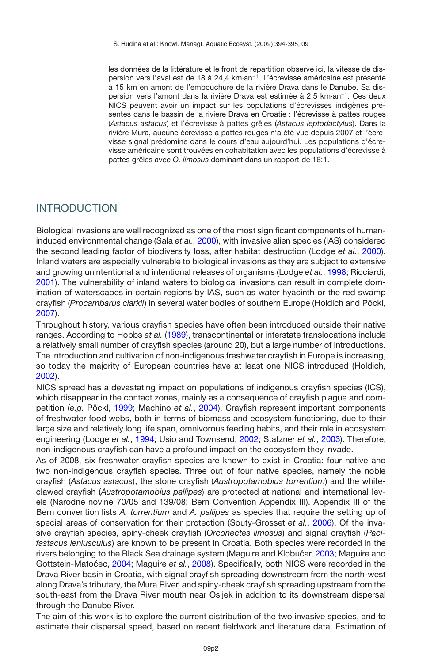les données de la littérature et le front de répartition observé ici, la vitesse de dispersion vers l'aval est de 18 à 24,4 km·an−1. L'écrevisse américaine est présente à 15 km en amont de l'embouchure de la rivière Drava dans le Danube. Sa dispersion vers l'amont dans la rivière Drava est estimée à 2,5 km·an−1. Ces deux NICS peuvent avoir un impact sur les populations d'écrevisses indigènes présentes dans le bassin de la rivière Drava en Croatie : l'écrevisse à pattes rouges (*Astacus astacus*) et l'écrevisse à pattes grêles (*Astacus leptodactylus*). Dans la rivière Mura, aucune écrevisse à pattes rouges n'a été vue depuis 2007 et l'écrevisse signal prédomine dans le cours d'eau aujourd'hui. Les populations d'écrevisse américaine sont trouvées en cohabitation avec les populations d'écrevisse à pattes grêles avec *O. limosus* dominant dans un rapport de 16:1.

## INTRODUCTION

Biological invasions are well recognized as one of the most significant components of humaninduced environmental change (Sala *et al.*, [2000](#page-10-0)), with invasive alien species (IAS) considered the second leading factor of biodiversity loss, after habitat destruction (Lodge *et al.*, [2000](#page-9-0)). Inland waters are especially vulnerable to biological invasions as they are subject to extensive and growing unintentional and intentional releases of organisms (Lodge *et al.*, [1998](#page-9-1); Ricciardi, [2001\)](#page-10-1). The vulnerability of inland waters to biological invasions can result in complete domination of waterscapes in certain regions by IAS, such as water hyacinth or the red swamp crayfish (*Procambarus clarkii*) in several water bodies of southern Europe (Holdich and Pöckl, [2007\)](#page-9-2).

Throughout history, various crayfish species have often been introduced outside their native ranges. According to Hobbs *et al.* [\(1989\)](#page-9-3), transcontinental or interstate translocations include a relatively small number of crayfish species (around 20), but a large number of introductions. The introduction and cultivation of non-indigenous freshwater crayfish in Europe is increasing, so today the majority of European countries have at least one NICS introduced (Holdich, [2002\)](#page-9-4).

NICS spread has a devastating impact on populations of indigenous crayfish species (ICS), which disappear in the contact zones, mainly as a consequence of crayfish plague and competition (*e.g.* Pöckl, [1999](#page-10-2); Machino *et al.*, [2004](#page-9-5)). Crayfish represent important components of freshwater food webs, both in terms of biomass and ecosystem functioning, due to their large size and relatively long life span, omnivorous feeding habits, and their role in ecosystem engineering (Lodge *et al.*, [1994](#page-9-6); Usio and Townsend, [2002;](#page-10-3) Statzner *et al.*, [2003\)](#page-10-4). Therefore, non-indigenous crayfish can have a profound impact on the ecosystem they invade.

As of 2008, six freshwater crayfish species are known to exist in Croatia: four native and two non-indigenous crayfish species. Three out of four native species, namely the noble crayfish (*Astacus astacus*), the stone crayfish (*Austropotamobius torrentium*) and the whiteclawed crayfish (*Austropotamobius pallipes*) are protected at national and international levels (Narodne novine 70/05 and 139/08; Bern Convention Appendix III). Appendix III of the Bern convention lists *A. torrentium* and *A. pallipes* as species that require the setting up of special areas of conservation for their protection (Souty-Grosset *et al.*, [2006](#page-10-5)). Of the invasive crayfish species, spiny-cheek crayfish (*Orconectes limosus*) and signal crayfish (*Pacifastacus leniusculus*) are known to be present in Croatia. Both species were recorded in the rivers belonging to the Black Sea drainage system (Maguire and Klobučar, [2003;](#page-9-7) Maguire and Gottstein-Matočec, [2004;](#page-9-8) Maguire *et al.*, [2008](#page-9-9)). Specifically, both NICS were recorded in the Drava River basin in Croatia, with signal crayfish spreading downstream from the north-west along Drava's tributary, the Mura River, and spiny-cheek crayfish spreading upstream from the south-east from the Drava River mouth near Osijek in addition to its downstream dispersal through the Danube River.

The aim of this work is to explore the current distribution of the two invasive species, and to estimate their dispersal speed, based on recent fieldwork and literature data. Estimation of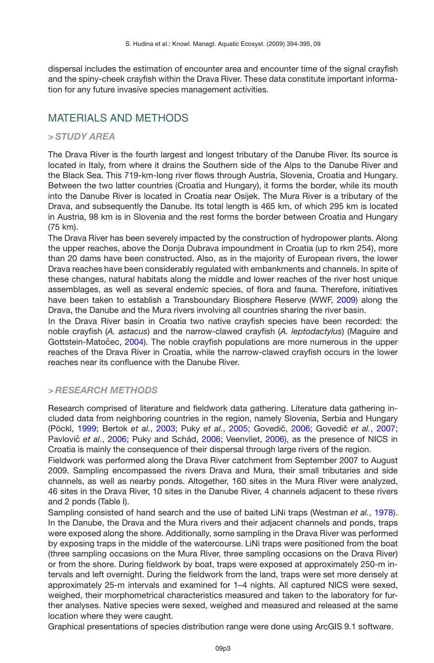dispersal includes the estimation of encounter area and encounter time of the signal crayfish and the spiny-cheek crayfish within the Drava River. These data constitute important information for any future invasive species management activities.

# MATERIALS AND METHODS

### *> STUDY AREA*

The Drava River is the fourth largest and longest tributary of the Danube River. Its source is located in Italy, from where it drains the Southern side of the Alps to the Danube River and the Black Sea. This 719-km-long river flows through Austria, Slovenia, Croatia and Hungary. Between the two latter countries (Croatia and Hungary), it forms the border, while its mouth into the Danube River is located in Croatia near Osijek. The Mura River is a tributary of the Drava, and subsequently the Danube. Its total length is 465 km, of which 295 km is located in Austria, 98 km is in Slovenia and the rest forms the border between Croatia and Hungary (75 km).

The Drava River has been severely impacted by the construction of hydropower plants. Along the upper reaches, above the Donja Dubrava impoundment in Croatia (up to rkm 254), more than 20 dams have been constructed. Also, as in the majority of European rivers, the lower Drava reaches have been considerably regulated with embankments and channels. In spite of these changes, natural habitats along the middle and lower reaches of the river host unique assemblages, as well as several endemic species, of flora and fauna. Therefore, initiatives have been taken to establish a Transboundary Biosphere Reserve (WWF, [2009](#page-10-6)) along the Drava, the Danube and the Mura rivers involving all countries sharing the river basin.

In the Drava River basin in Croatia two native crayfish species have been recorded: the noble crayfish (*A. astacus*) and the narrow-clawed crayfish (*A. leptodactylus*) (Maguire and Gottstein-Matočec, [2004\)](#page-9-8). The noble crayfish populations are more numerous in the upper reaches of the Drava River in Croatia, while the narrow-clawed crayfish occurs in the lower reaches near its confluence with the Danube River.

### *> RESEARCH METHODS*

Research comprised of literature and fieldwork data gathering. Literature data gathering included data from neighboring countries in the region, namely Slovenia, Serbia and Hungary (Pöckl, [1999](#page-10-2); Bertok *et al.*, [2003](#page-9-10); Puky *et al.*, [2005](#page-10-7); Govedič, [2006;](#page-9-11) Govedič *et al.*, [2007;](#page-9-12) Pavlovič et al., [2006;](#page-10-8) Puky and Schád, [2006](#page-10-10); Veenvliet, 2006), as the presence of NICS in Croatia is mainly the consequence of their dispersal through large rivers of the region.

Fieldwork was performed along the Drava River catchment from September 2007 to August 2009. Sampling encompassed the rivers Drava and Mura, their small tributaries and side channels, as well as nearby ponds. Altogether, 160 sites in the Mura River were analyzed, 46 sites in the Drava River, 10 sites in the Danube River, 4 channels adjacent to these rivers and 2 ponds (Table [I\)](#page-3-0).

Sampling consisted of hand search and the use of baited LiNi traps (Westman *et al.*, [1978](#page-10-11)). In the Danube, the Drava and the Mura rivers and their adjacent channels and ponds, traps were exposed along the shore. Additionally, some sampling in the Drava River was performed by exposing traps in the middle of the watercourse. LiNi traps were positioned from the boat (three sampling occasions on the Mura River, three sampling occasions on the Drava River) or from the shore. During fieldwork by boat, traps were exposed at approximately 250-m intervals and left overnight. During the fieldwork from the land, traps were set more densely at approximately 25-m intervals and examined for 1–4 nights. All captured NICS were sexed, weighed, their morphometrical characteristics measured and taken to the laboratory for further analyses. Native species were sexed, weighed and measured and released at the same location where they were caught.

Graphical presentations of species distribution range were done using ArcGIS 9.1 software.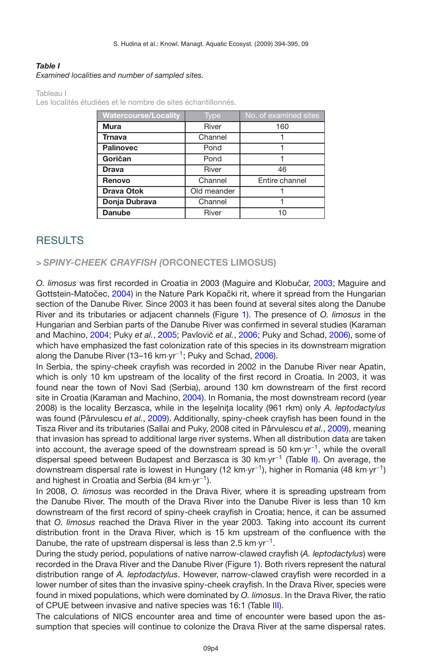### <span id="page-3-0"></span>*Table I*

*Examined localities and number of sampled sites.*

Tableau I

Les localités étudiées et le nombre de sites échantillonnés.

| <b>Watercourse/Locality</b> | Type        | No. of examined sites |  |
|-----------------------------|-------------|-----------------------|--|
| <b>Mura</b>                 | River       | 160                   |  |
| <b>Trnava</b>               | Channel     |                       |  |
| <b>Palinovec</b>            | Pond        |                       |  |
| Goričan                     | Pond        | 1                     |  |
| <b>Drava</b>                | River       | 46                    |  |
| Renovo                      | Channel     | Entire channel        |  |
| <b>Drava Otok</b>           | Old meander |                       |  |
| Donja Dubrava               | Channel     |                       |  |
| <b>Danube</b>               | River       | 10                    |  |

# RESULTS

### *> SPINY-CHEEK CRAYFISH (***ORCONECTES LIMOSUS)**

O. limosus was first recorded in Croatia in [2003](#page-9-7) (Maguire and Klobučar, 2003; Maguire and Gottstein-Matočec, [2004\)](#page-9-8) in the Nature Park Kopački rit, where it spread from the Hungarian section of the Danube River. Since 2003 it has been found at several sites along the Danube River and its tributaries or adjacent channels (Figure [1\)](#page-4-0). The presence of *O. limosus* in the Hungarian and Serbian parts of the Danube River was confirmed in several studies (Karaman and Machino, [2004](#page-9-13); Puky *et al.*, [2005;](#page-10-7) Pavlovič *et al.*, [2006;](#page-10-8) Puky and Schad, [2006](#page-10-9)), some of which have emphasized the fast colonization rate of this species in its downstream migration along the Danube River (13–16 km·yr−1; Puky and Schad, [2006\)](#page-10-9).

In Serbia, the spiny-cheek crayfish was recorded in 2002 in the Danube River near Apatin, which is only 10 km upstream of the locality of the first record in Croatia. In 2003, it was found near the town of Novi Sad (Serbia), around 130 km downstream of the first record site in Croatia (Karaman and Machino, [2004](#page-9-13)). In Romania, the most downstream record (year 2008) is the locality Berzasca, while in the leselnița locality (961 rkm) only *A. leptodactylus* was found (Pârvulescu *et al.*, [2009](#page-10-12)). Additionally, spiny-cheek crayfish has been found in the Tisza River and its tributaries (Sallai and Puky, 2008 cited in Pârvulescu *et al.*, [2009](#page-10-12)), meaning that invasion has spread to additional large river systems. When all distribution data are taken into account, the average speed of the downstream spread is 50 km·yr−1, while the overall dispersal speed between Budapest and Berzasca is 30 km·yr−<sup>1</sup> (Table [II\)](#page-5-0). On average, the downstream dispersal rate is lowest in Hungary (12 km·yr−1), higher in Romania (48 km·yr−1) and highest in Croatia and Serbia (84 km·yr−1).

In 2008, *O. limosus* was recorded in the Drava River, where it is spreading upstream from the Danube River. The mouth of the Drava River into the Danube River is less than 10 km downstream of the first record of spiny-cheek crayfish in Croatia; hence, it can be assumed that *O. limosus* reached the Drava River in the year 2003. Taking into account its current distribution front in the Drava River, which is 15 km upstream of the confluence with the Danube, the rate of upstream dispersal is less than 2.5 km⋅yr<sup>-1</sup>.

During the study period, populations of native narrow-clawed crayfish (*A. leptodactylus*) were recorded in the Drava River and the Danube River (Figure [1\)](#page-4-0). Both rivers represent the natural distribution range of *A. leptodactylus*. However, narrow-clawed crayfish were recorded in a lower number of sites than the invasive spiny-cheek crayfish. In the Drava River, species were found in mixed populations, which were dominated by *O. limosus*. In the Drava River, the ratio of CPUE between invasive and native species was 16:1 (Table [III\)](#page-5-1).

The calculations of NICS encounter area and time of encounter were based upon the assumption that species will continue to colonize the Drava River at the same dispersal rates.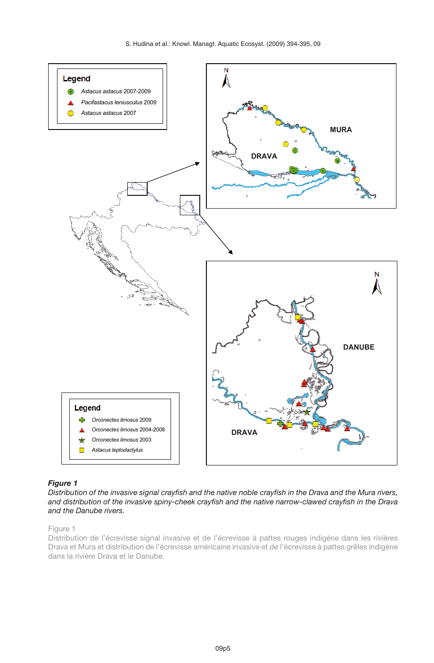

### <span id="page-4-0"></span>*Figure 1*

*Distribution of the invasive signal crayfish and the native noble crayfish in the Drava and the Mura rivers, and distribution of the invasive spiny-cheek crayfish and the native narrow-clawed crayfish in the Drava and the Danube rivers.*

#### Figure 1

Distribution de l'écrevisse signal invasive et de l'écrevisse à pattes rouges indigène dans les rivières Drava et Mura et distribution de l'écrevisse américaine invasive et de l'écrevisse à pattes grêles indigène dans la rivière Drava et le Danube.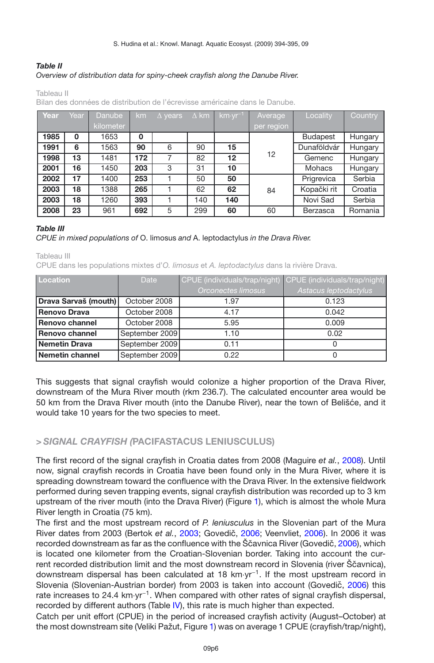### <span id="page-5-0"></span>*Table II Overview of distribution data for spiny-cheek crayfish along the Danube River.*

Tableau II

Bilan des données de distribution de l'écrevisse américaine dans le Danube.

| Year | Year        | Danube    | km          | $\Delta$ years | $\Delta$ km | km·yr <sup>-1</sup> | Average    | Locality        | Country |
|------|-------------|-----------|-------------|----------------|-------------|---------------------|------------|-----------------|---------|
|      |             | kilometer |             |                |             |                     | per region |                 |         |
| 1985 | $\mathbf 0$ | 1653      | $\mathbf 0$ |                |             |                     |            | <b>Budapest</b> | Hungary |
| 1991 | 6           | 1563      | 90          | 6              | 90          | 15                  |            | Dunaföldvár     | Hungary |
| 1998 | 13          | 1481      | 172         | 7              | 82          | 12                  | 12         | Gemenc          | Hungary |
| 2001 | 16          | 1450      | 203         | 3              | 31          | 10                  |            | Mohacs          | Hungary |
| 2002 | 17          | 1400      | 253         |                | 50          | 50                  |            | Prigrevica      | Serbia  |
| 2003 | 18          | 1388      | 265         |                | 62          | 62                  | 84         | Kopački rit     | Croatia |
| 2003 | 18          | 1260      | 393         |                | 140         | 140                 |            | Novi Sad        | Serbia  |
| 2008 | 23          | 961       | 692         | 5              | 299         | 60                  | 60         | Berzasca        | Romania |

#### <span id="page-5-1"></span>*Table III*

#### *CPUE in mixed populations of* O. limosus *and* A. leptodactylus *in the Drava River.*

Tableau III

CPUE dans les populations mixtes d'*O. limosus* et *A. leptodactylus* dans la rivière Drava.

| Location             | Date           | CPUE (individuals/trap/night) | CPUE (individuals/trap/night) |
|----------------------|----------------|-------------------------------|-------------------------------|
|                      |                | Orconectes limosus            | Astacus leptodactylus         |
| Drava Sarvaš (mouth) | October 2008   | 1.97                          | 0.123                         |
| <b>Renovo Drava</b>  | October 2008   | 4.17                          | 0.042                         |
| Renovo channel       | October 2008   | 5.95                          | 0.009                         |
| Renovo channel       | September 2009 | 1.10                          | 0.02                          |
| Nemetin Drava        | September 2009 | 0.11                          |                               |
| Nemetin channel      | September 2009 | 0.22                          |                               |

This suggests that signal crayfish would colonize a higher proportion of the Drava River, downstream of the Mura River mouth (rkm 236.7). The calculated encounter area would be 50 km from the Drava River mouth (into the Danube River), near the town of Belišce, and it ´ would take 10 years for the two species to meet.

### *> SIGNAL CRAYFISH (***PACIFASTACUS LENIUSCULUS)**

The first record of the signal crayfish in Croatia dates from 2008 (Maguire *et al.*, [2008\)](#page-9-9). Until now, signal crayfish records in Croatia have been found only in the Mura River, where it is spreading downstream toward the confluence with the Drava River. In the extensive fieldwork performed during seven trapping events, signal crayfish distribution was recorded up to 3 km upstream of the river mouth (into the Drava River) (Figure [1\)](#page-4-0), which is almost the whole Mura River length in Croatia (75 km).

The first and the most upstream record of *P. leniusculus* in the Slovenian part of the Mura River dates from [2003](#page-9-10) (Bertok et al., 2003; Govedič, [2006](#page-10-10); Veenvliet, 2006). In 2006 it was recorded downstream as far as the confluence with the Ščavnica River (Govedič, [2006\)](#page-9-11), which is located one kilometer from the Croatian-Slovenian border. Taking into account the current recorded distribution limit and the most downstream record in Slovenia (river Ščavnica), downstream dispersal has been calculated at 18 km·yr−1. If the most upstream record in Slovenia (Slovenian-Austrian border) from 2003 is taken into account (Govedič, [2006](#page-9-11)) this rate increases to 24.4 km⋅yr<sup>−1</sup>. When compared with other rates of signal crayfish dispersal, recorded by different authors (Table [IV\)](#page-6-0), this rate is much higher than expected.

Catch per unit effort (CPUE) in the period of increased crayfish activity (August–October) at the most downstream site (Veliki Pažut, Figure [1\)](#page-4-0) was on average 1 CPUE (crayfish/trap/night),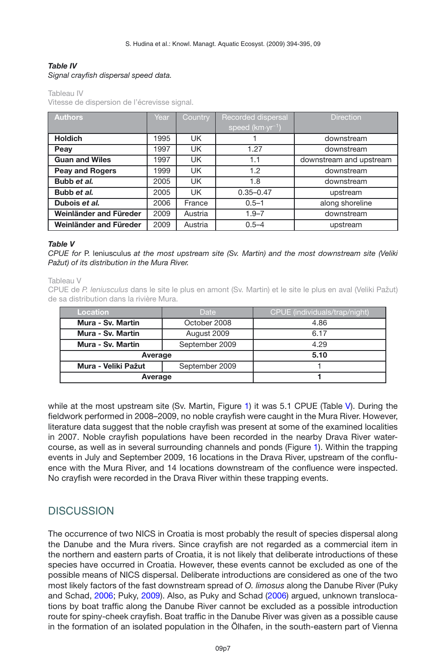### <span id="page-6-0"></span>*Table IV Signal crayfish dispersal speed data.*

Tableau IV

Vitesse de dispersion de l'écrevisse signal.

| <b>Authors</b>         | Year | Country | Recorded dispersal         | <b>Direction</b>        |
|------------------------|------|---------|----------------------------|-------------------------|
|                        |      |         | speed $(km \cdot yr^{-1})$ |                         |
| <b>Holdich</b>         | 1995 | UK.     |                            | downstream              |
| Peay                   | 1997 | UK      | 1.27                       | downstream              |
| <b>Guan and Wiles</b>  | 1997 | UK      | 1.1                        | downstream and upstream |
| <b>Peay and Rogers</b> | 1999 | UK      | 1.2                        | downstream              |
| Bubb et al.            | 2005 | UK      | 1.8                        | downstream              |
| Bubb et al.            | 2005 | UK      | $0.35 - 0.47$              | upstream                |
| Dubois et al.          | 2006 | France  | $0.5 - 1$                  | along shoreline         |
| Weinländer and Füreder | 2009 | Austria | $1.9 - 7$                  | downstream              |
| Weinländer and Füreder | 2009 | Austria | $0.5 - 4$                  | upstream                |

#### <span id="page-6-1"></span>*Table V*

*CPUE for* P. leniusculus *at the most upstream site (Sv. Martin) and the most downstream site (Veliki Pažut) of its distribution in the Mura River.*

Tableau V

CPUE de *P. leniusculus* dans le site le plus en amont (Sv. Martin) et le site le plus en aval (Veliki Pažut) de sa distribution dans la rivière Mura.

| <b>Location</b>     | Date           | CPUE (individuals/trap/night) |  |
|---------------------|----------------|-------------------------------|--|
| Mura - Sv. Martin   | October 2008   | 4.86                          |  |
| Mura - Sv. Martin   | August 2009    | 6.17                          |  |
| Mura - Sv. Martin   | September 2009 | 4.29                          |  |
| Average             | 5.10           |                               |  |
| Mura - Veliki Pažut | September 2009 |                               |  |
| Average             |                |                               |  |

while at the most upstream site (Sv. Martin, Figure [1\)](#page-4-0) it was 5.1 CPUE (Table [V\)](#page-6-1). During the fieldwork performed in 2008–2009, no noble crayfish were caught in the Mura River. However, literature data suggest that the noble crayfish was present at some of the examined localities in 2007. Noble crayfish populations have been recorded in the nearby Drava River watercourse, as well as in several surrounding channels and ponds (Figure [1\)](#page-4-0). Within the trapping events in July and September 2009, 16 locations in the Drava River, upstream of the confluence with the Mura River, and 14 locations downstream of the confluence were inspected. No crayfish were recorded in the Drava River within these trapping events.

# **DISCUSSION**

The occurrence of two NICS in Croatia is most probably the result of species dispersal along the Danube and the Mura rivers. Since crayfish are not regarded as a commercial item in the northern and eastern parts of Croatia, it is not likely that deliberate introductions of these species have occurred in Croatia. However, these events cannot be excluded as one of the possible means of NICS dispersal. Deliberate introductions are considered as one of the two most likely factors of the fast downstream spread of *O. limosus* along the Danube River (Puky and Schad, [2006](#page-10-9); Puky, [2009](#page-10-13)). Also, as Puky and Schad [\(2006\)](#page-10-9) argued, unknown translocations by boat traffic along the Danube River cannot be excluded as a possible introduction route for spiny-cheek crayfish. Boat traffic in the Danube River was given as a possible cause in the formation of an isolated population in the Ölhafen, in the south-eastern part of Vienna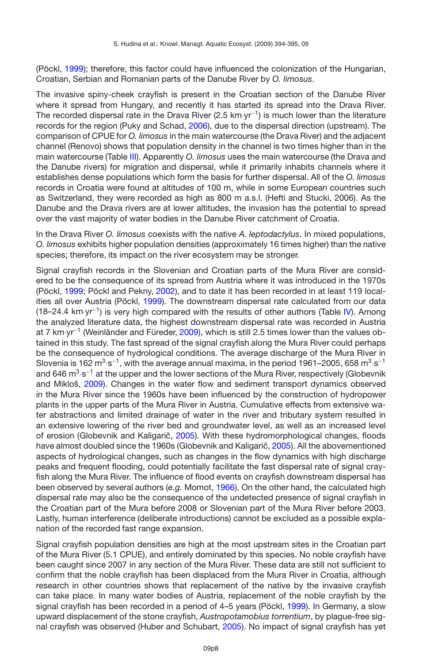(Pöckl, [1999](#page-10-2)); therefore, this factor could have influenced the colonization of the Hungarian, Croatian, Serbian and Romanian parts of the Danube River by *O. limosus*.

The invasive spiny-cheek crayfish is present in the Croatian section of the Danube River where it spread from Hungary, and recently it has started its spread into the Drava River. The recorded dispersal rate in the Drava River (2.5 km⋅yr<sup>-1</sup>) is much lower than the literature records for the region (Puky and Schad, [2006](#page-10-9)), due to the dispersal direction (upstream). The comparison of CPUE for *O. limosus* in the main watercourse (the Drava River) and the adjacent channel (Renovo) shows that population density in the channel is two times higher than in the main watercourse (Table [III\)](#page-5-1). Apparently *O. limosus* uses the main watercourse (the Drava and the Danube rivers) for migration and dispersal, while it primarily inhabits channels where it establishes dense populations which form the basis for further dispersal. All of the *O. limosus* records in Croatia were found at altitudes of 100 m, while in some European countries such as Switzerland, they were recorded as high as 800 m a.s.l. (Hefti and Stucki, 2006). As the Danube and the Drava rivers are at lower altitudes, the invasion has the potential to spread over the vast majority of water bodies in the Danube River catchment of Croatia.

In the Drava River *O. limosus* coexists with the native *A. leptodactylus*. In mixed populations, *O. limosus* exhibits higher population densities (approximately 16 times higher) than the native species; therefore, its impact on the river ecosystem may be stronger.

Signal crayfish records in the Slovenian and Croatian parts of the Mura River are considered to be the consequence of its spread from Austria where it was introduced in the 1970s (Pöckl, [1999;](#page-10-2) Pöckl and Pekny, [2002\)](#page-10-14), and to date it has been recorded in at least 119 localities all over Austria (Pöckl, [1999](#page-10-2)). The downstream dispersal rate calculated from our data  $(18–24.4 \text{ km}\cdot\text{yr}^{-1})$  is very high compared with the results of other authors (Table [IV\)](#page-6-0). Among the analyzed literature data, the highest downstream dispersal rate was recorded in Austria at 7 km·yr−<sup>1</sup> (Weinländer and Füreder, [2009](#page-10-15)), which is still 2.5 times lower than the values obtained in this study. The fast spread of the signal crayfish along the Mura River could perhaps be the consequence of hydrological conditions. The average discharge of the Mura River in Slovenia is 162 m<sup>3</sup>·s<sup>-1</sup>, with the average annual maxima, in the period 1961–2005, 658 m<sup>3</sup>·s<sup>-1</sup> and 646 m<sup>3</sup>·s<sup>-1</sup> at the upper and the lower sections of the Mura River, respectively (Globevnik and Mikloš, [2009](#page-9-14)). Changes in the water flow and sediment transport dynamics observed in the Mura River since the 1960s have been influenced by the construction of hydropower plants in the upper parts of the Mura River in Austria. Cumulative effects from extensive water abstractions and limited drainage of water in the river and tributary system resulted in an extensive lowering of the river bed and groundwater level, as well as an increased level of erosion (Globevnik and Kaligarič, [2005](#page-9-15)). With these hydromorphological changes, floods have almost doubled since the 1960s (Globevnik and Kaligarič, [2005](#page-9-15)). All the abovementioned aspects of hydrological changes, such as changes in the flow dynamics with high discharge peaks and frequent flooding, could potentially facilitate the fast dispersal rate of signal crayfish along the Mura River. The influence of flood events on crayfish downstream dispersal has been observed by several authors (*e.g.* Momot, [1966](#page-10-16)). On the other hand, the calculated high dispersal rate may also be the consequence of the undetected presence of signal crayfish in the Croatian part of the Mura before 2008 or Slovenian part of the Mura River before 2003. Lastly, human interference (deliberate introductions) cannot be excluded as a possible explanation of the recorded fast range expansion.

Signal crayfish population densities are high at the most upstream sites in the Croatian part of the Mura River (5.1 CPUE), and entirely dominated by this species. No noble crayfish have been caught since 2007 in any section of the Mura River. These data are still not sufficient to confirm that the noble crayfish has been displaced from the Mura River in Croatia, although research in other countries shows that replacement of the native by the invasive crayfish can take place. In many water bodies of Austria, replacement of the noble crayfish by the signal crayfish has been recorded in a period of 4–5 years (Pöckl, [1999\)](#page-10-2). In Germany, a slow upward displacement of the stone crayfish, *Austropotamobius torrentium*, by plague-free signal crayfish was observed (Huber and Schubart, [2005](#page-9-16)). No impact of signal crayfish has yet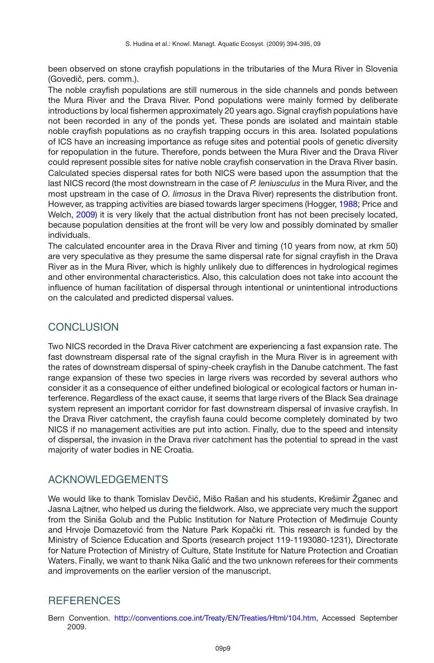been observed on stone crayfish populations in the tributaries of the Mura River in Slovenia (Govedič, pers. comm.).

The noble crayfish populations are still numerous in the side channels and ponds between the Mura River and the Drava River. Pond populations were mainly formed by deliberate introductions by local fishermen approximately 20 years ago. Signal crayfish populations have not been recorded in any of the ponds yet. These ponds are isolated and maintain stable noble crayfish populations as no crayfish trapping occurs in this area. Isolated populations of ICS have an increasing importance as refuge sites and potential pools of genetic diversity for repopulation in the future. Therefore, ponds between the Mura River and the Drava River could represent possible sites for native noble crayfish conservation in the Drava River basin. Calculated species dispersal rates for both NICS were based upon the assumption that the last NICS record (the most downstream in the case of *P. leniusculus* in the Mura River, and the most upstream in the case of *O. limosus* in the Drava River) represents the distribution front. However, as trapping activities are biased towards larger specimens (Hogger, [1988;](#page-9-17) Price and Welch, [2009\)](#page-10-17) it is very likely that the actual distribution front has not been precisely located, because population densities at the front will be very low and possibly dominated by smaller individuals.

The calculated encounter area in the Drava River and timing (10 years from now, at rkm 50) are very speculative as they presume the same dispersal rate for signal crayfish in the Drava River as in the Mura River, which is highly unlikely due to differences in hydrological regimes and other environmental characteristics. Also, this calculation does not take into account the influence of human facilitation of dispersal through intentional or unintentional introductions on the calculated and predicted dispersal values.

# CONCLUSION

Two NICS recorded in the Drava River catchment are experiencing a fast expansion rate. The fast downstream dispersal rate of the signal crayfish in the Mura River is in agreement with the rates of downstream dispersal of spiny-cheek crayfish in the Danube catchment. The fast range expansion of these two species in large rivers was recorded by several authors who consider it as a consequence of either undefined biological or ecological factors or human interference. Regardless of the exact cause, it seems that large rivers of the Black Sea drainage system represent an important corridor for fast downstream dispersal of invasive crayfish. In the Drava River catchment, the crayfish fauna could become completely dominated by two NICS if no management activities are put into action. Finally, due to the speed and intensity of dispersal, the invasion in the Drava river catchment has the potential to spread in the vast majority of water bodies in NE Croatia.

# ACKNOWLEDGEMENTS

We would like to thank Tomislav Devčić, Mišo Rašan and his students, Krešimir Žganec and Jasna Lajtner, who helped us during the fieldwork. Also, we appreciate very much the support from the Siniša Golub and the Public Institution for Nature Protection of Medimuje County ¯ and Hrvoje Domazetović from the Nature Park Kopački rit. This research is funded by the Ministry of Science Education and Sports (research project 119-1193080-1231), Directorate for Nature Protection of Ministry of Culture, State Institute for Nature Protection and Croatian Waters. Finally, we want to thank Nika Galić and the two unknown referees for their comments and improvements on the earlier version of the manuscript.

# **REFERENCES**

Bern Convention. [http://conventions.coe.int/Treaty/EN/Treaties/Html/104.htm,](http://conventions.coe.int/Treaty/EN/Treaties/Html/104.htm) Accessed September 2009.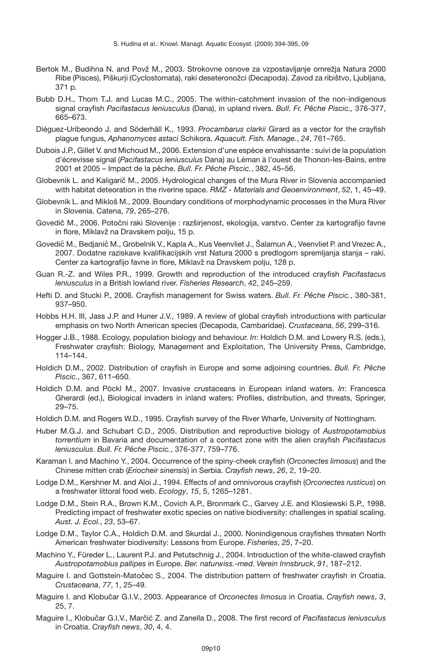- <span id="page-9-10"></span>Bertok M., Budihna N. and Povž M., 2003. Strokovne osnove za vzpostavljanje omrežja Natura 2000 Ribe (Pisces), Piškurji (Cyclostomata), raki deseteronožci (Decapoda). Zavod za ribištvo, Ljubljana, 371 p.
- Bubb D.H., Thom T.J. and Lucas M.C., 2005. The within-catchment invasion of the non-indigenous signal crayfish *Pacifastacus leniusculus* (Dana), in upland rivers. *Bull. Fr. Pêche Piscic.,* 376-377, 665–673.
- Diéguez-Uribeondo J. and Söderhäll K., 1993. *Procambarus clarkii* Girard as a vector for the crayfish plague fungus, *Aphanomyces astaci* Schikora. *Aquacult. Fish. Manage.*, *24*, 761–765.
- Dubois J.P., Gillet V. and Michoud M., 2006. Extension d'une espèce envahissante : suivi de la population d'écrevisse signal (*Pacifastacus leniusculus* Dana) au Léman à l'ouest de Thonon-les-Bains, entre 2001 et 2005 – Impact de la pêche. *Bull. Fr. Pêche Piscic.*, 382, 45–56.
- <span id="page-9-15"></span>Globevnik L. and Kaligarič M., 2005. Hydrological changes of the Mura River in Slovenia accompanied with habitat deteoration in the riverine space. *RMZ - Materials and Geoenvironment*, *52*, 1, 45–49.
- <span id="page-9-14"></span>Globevnik L. and Mikloš M., 2009. Boundary conditions of morphodynamic processes in the Mura River in Slovenia. Catena, *79*, 265–276.
- <span id="page-9-11"></span>Govedič M., 2006. Potočni raki Slovenije : razširjenost, ekologija, varstvo. Center za kartografijo favne in flore, Miklavž na Dravskem polju, 15 p.
- <span id="page-9-12"></span>Govedič M., Bedjanič M., Grobelnik V., Kapla A., Kus Veenvliet J., Šalamun A., Veenvliet P. and Vrezec A., 2007. Dodatne raziskave kvalifikacijskih vrst Natura 2000 s predlogom spremljanja stanja – raki. Center za kartografijo favne in flore, Miklavž na Dravskem polju, 128 p.
- Guan R.-Z. and Wiles P.R., 1999. Growth and reproduction of the introduced crayfish *Pacifastacus leniusculus* in a British lowland river. *Fisheries Research*, 42, 245–259.
- Hefti D. and Stucki P., 2006. Crayfish management for Swiss waters. *Bull. Fr. Pêche Piscic.*, 380-381, 937–950.
- <span id="page-9-3"></span>Hobbs H.H. III, Jass J.P. and Huner J.V., 1989. A review of global crayfish introductions with particular emphasis on two North American species (Decapoda, Cambaridae). *Crustaceana*, *56*, 299–316.
- <span id="page-9-17"></span>Hogger J.B., 1988. Ecology, population biology and behaviour. *In*: Holdich D.M. and Lowery R.S. (eds.), Freshwater crayfish: Biology, Management and Exploitation, The University Press, Cambridge, 114–144.
- <span id="page-9-4"></span>Holdich D.M., 2002. Distribution of crayfish in Europe and some adjoining countries. *Bull. Fr. Pêche Piscic.*, 367, 611–650.
- <span id="page-9-2"></span>Holdich D.M. and Pöckl M., 2007. Invasive crustaceans in European inland waters. *In*: Francesca Gherardi (ed.), Biological invaders in inland waters: Profiles, distribution, and threats, Springer, 29–75.
- Holdich D.M. and Rogers W.D., 1995. Crayfish survey of the River Wharfe, University of Nottingham.
- <span id="page-9-16"></span>Huber M.G.J. and Schubart C.D., 2005. Distribution and reproductive biology of *Austropotamobius torrentium* in Bavaria and documentation of a contact zone with the alien crayfish *Pacifastacus leniusculus*. *Bull. Fr. Pêche Piscic.*, 376-377, 759–776.
- <span id="page-9-13"></span>Karaman I. and Machino Y., 2004. Occurrence of the spiny-cheek crayfish (*Orconectes limosus*) and the Chinese mitten crab (*Eriocheir sinensis*) in Serbia. *Crayfish news*, *26*, 2, 19–20.
- <span id="page-9-6"></span>Lodge D.M., Kershner M. and Aloi J., 1994. Effects of and omnivorous crayfish (*Orconectes rusticus*) on a freshwater littoral food web. *Ecology*, *15*, 5, 1265–1281.
- <span id="page-9-1"></span>Lodge D.M., Stein R.A., Brown K.M., Covich A.P., Bronmark C., Garvey J.E. and Klosiewski S.P., 1998. Predicting impact of freshwater exotic species on native biodiversity: challenges in spatial scaling. *Aust. J. Ecol.*, *23*, 53–67.
- <span id="page-9-0"></span>Lodge D.M., Taylor C.A., Holdich D.M. and Skurdal J., 2000. Nonindigenous crayfishes threaten North American freshwater biodiversity: Lessons from Europe. *Fisheries*, *25*, 7–20.
- <span id="page-9-5"></span>Machino Y., Füreder L., Laurent P.J. and Petutschnig J., 2004. Introduction of the white-clawed crayfish *Austropotamobius pallipes* in Europe. *Ber. naturwiss.-med. Verein Innsbruck*, *91*, 187–212.
- <span id="page-9-8"></span>Maguire I. and Gottstein-Matočec S., 2004. The distribution pattern of freshwater crayfish in Croatia. *Crustaceana*, *77*, 1, 25–49.
- <span id="page-9-7"></span>Maguire I. and Klobučar G.I.V., 2003. Appearance of *Orconectes limosus* in Croatia. *Crayfish news*, 3, 25, 7.
- <span id="page-9-9"></span>Maguire I., Klobučar G.I.V., Marčić Z. and Zanella D., 2008. The first record of Pacifastacus leniusculus in Croatia. *Crayfish news*, *30*, 4, 4.